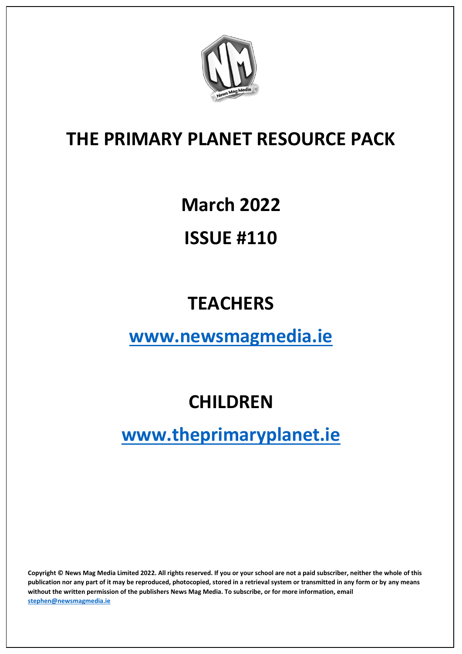

# **March 2022**

# **ISSUE #110**

# **TEACHERS**

### **[www.newsmagmedia.ie](about:blank)**

# **CHILDREN**

# **[www.theprimaryplanet.ie](about:blank)**

**Copyright © News Mag Media Limited 2022. All rights reserved. If you or your school are not a paid subscriber, neither the whole of this publication nor any part of it may be reproduced, photocopied, stored in a retrieval system or transmitted in any form or by any means without the written permission of the publishers News Mag Media. To subscribe, or for more information, email [stephen@newsmagmedia.ie](about:blank)**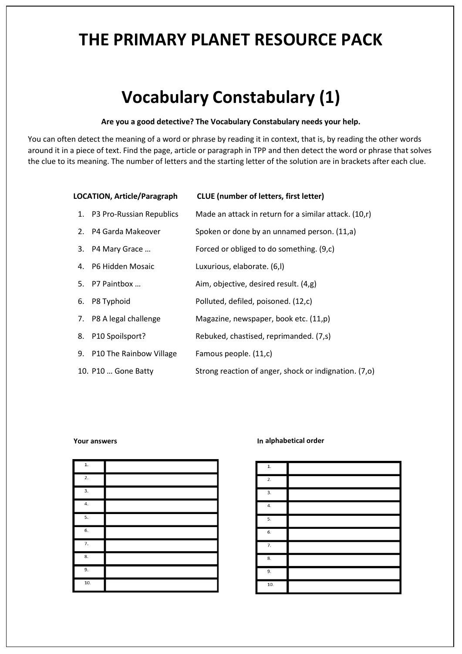## **Vocabulary Constabulary (1)**

#### **Are you a good detective? The Vocabulary Constabulary needs your help.**

You can often detect the meaning of a word or phrase by reading it in context, that is, by reading the other words around it in a piece of text. Find the page, article or paragraph in TPP and then detect the word or phrase that solves the clue to its meaning. The number of letters and the starting letter of the solution are in brackets after each clue.

| <b>LOCATION, Article/Paragraph</b> |                             | <b>CLUE</b> (number of letters, first letter)         |
|------------------------------------|-----------------------------|-------------------------------------------------------|
|                                    | 1. P3 Pro-Russian Republics | Made an attack in return for a similar attack. (10,r) |
|                                    | 2. P4 Garda Makeover        | Spoken or done by an unnamed person. (11,a)           |
|                                    | 3. P4 Mary Grace            | Forced or obliged to do something. (9,c)              |
|                                    | 4. P6 Hidden Mosaic         | Luxurious, elaborate. (6,l)                           |
|                                    | 5. P7 Paintbox              | Aim, objective, desired result. (4,g)                 |
|                                    | 6. P8 Typhoid               | Polluted, defiled, poisoned. (12,c)                   |
|                                    | 7. P8 A legal challenge     | Magazine, newspaper, book etc. (11,p)                 |
|                                    | P10 Spoilsport?<br>8.       | Rebuked, chastised, reprimanded. (7,s)                |
|                                    | 9. P10 The Rainbow Village  | Famous people. (11,c)                                 |
|                                    | 10. P10  Gone Batty         | Strong reaction of anger, shock or indignation. (7,0) |
|                                    |                             |                                                       |

#### **Your answers I**

|  |  | In alphabetical order |  |
|--|--|-----------------------|--|
|  |  |                       |  |

| $1. \,$          |  |
|------------------|--|
| 2.               |  |
| $\overline{3}$ . |  |
| 4.               |  |
| 5.               |  |
| 6.               |  |
| 7.               |  |
| 8.               |  |
| 9.               |  |
| 10.              |  |

| $1. \,$          |  |
|------------------|--|
| 2.               |  |
| 3.               |  |
| $\overline{4}$ . |  |
| 5.               |  |
| 6.               |  |
| $\overline{7}$ . |  |
| 8.               |  |
| $\overline{9}$ . |  |
| 10.              |  |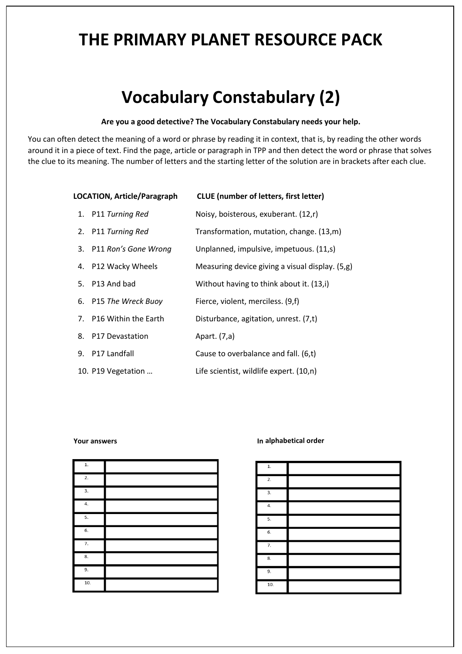## **Vocabulary Constabulary (2)**

#### **Are you a good detective? The Vocabulary Constabulary needs your help.**

You can often detect the meaning of a word or phrase by reading it in context, that is, by reading the other words around it in a piece of text. Find the page, article or paragraph in TPP and then detect the word or phrase that solves the clue to its meaning. The number of letters and the starting letter of the solution are in brackets after each clue.

| <b>LOCATION, Article/Paragraph</b> |                         | <b>CLUE</b> (number of letters, first letter)   |
|------------------------------------|-------------------------|-------------------------------------------------|
|                                    | 1. P11 Turning Red      | Noisy, boisterous, exuberant. (12,r)            |
|                                    | 2. P11 Turning Red      | Transformation, mutation, change. (13,m)        |
|                                    | 3. P11 Ron's Gone Wrong | Unplanned, impulsive, impetuous. (11,s)         |
|                                    | 4. P12 Wacky Wheels     | Measuring device giving a visual display. (5,g) |
|                                    | 5. P13 And bad          | Without having to think about it. (13,i)        |
|                                    | 6. P15 The Wreck Buoy   | Fierce, violent, merciless. (9,f)               |
|                                    | 7. P16 Within the Earth | Disturbance, agitation, unrest. (7,t)           |
|                                    | 8. P17 Devastation      | Apart. (7,a)                                    |
|                                    | 9. P17 Landfall         | Cause to overbalance and fall. (6,t)            |
|                                    | 10. P19 Vegetation      | Life scientist, wildlife expert. (10,n)         |

#### **Your answers**

|  | In alphabetical order |  |
|--|-----------------------|--|
|  |                       |  |

| $1. \,$          |  |
|------------------|--|
| 2.               |  |
| 3.               |  |
| 4.               |  |
| 5.               |  |
| $\overline{6}$ . |  |
| $\overline{7}$ . |  |
| 8.               |  |
| 9.               |  |
| 10.              |  |

| ${\bf 1}.$       |  |
|------------------|--|
| 2.               |  |
| 3.               |  |
| 4.               |  |
| 5.               |  |
| 6.               |  |
| 7.               |  |
| $\overline{8}$ . |  |
| $\overline{9}$ . |  |
| 10.              |  |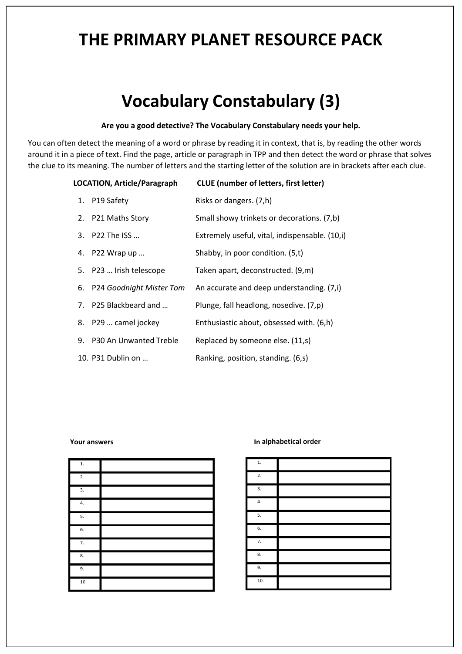# **Vocabulary Constabulary (3)**

#### **Are you a good detective? The Vocabulary Constabulary needs your help.**

You can often detect the meaning of a word or phrase by reading it in context, that is, by reading the other words around it in a piece of text. Find the page, article or paragraph in TPP and then detect the word or phrase that solves the clue to its meaning. The number of letters and the starting letter of the solution are in brackets after each clue.

| LOCATION, Article/Paragraph |                      |                             | <b>CLUE</b> (number of letters, first letter)  |
|-----------------------------|----------------------|-----------------------------|------------------------------------------------|
|                             | 1. P19 Safety        |                             | Risks or dangers. (7,h)                        |
|                             | 2. P21 Maths Story   |                             | Small showy trinkets or decorations. (7,b)     |
|                             | 3. P22 The ISS       |                             | Extremely useful, vital, indispensable. (10,i) |
|                             | 4. P22 Wrap up       |                             | Shabby, in poor condition. (5,t)               |
|                             |                      | 5. P23  Irish telescope     | Taken apart, deconstructed. (9,m)              |
|                             |                      | 6. P24 Goodnight Mister Tom | An accurate and deep understanding. (7,i)      |
|                             |                      | 7. P25 Blackbeard and       | Plunge, fall headlong, nosedive. (7,p)         |
|                             | 8. P29  camel jockey |                             | Enthusiastic about, obsessed with. (6,h)       |
|                             |                      | 9. P30 An Unwanted Treble   | Replaced by someone else. (11,s)               |
|                             | 10. P31 Dublin on    |                             | Ranking, position, standing. (6,s)             |
|                             |                      |                             |                                                |

| $1. \,$          |  |
|------------------|--|
| $\overline{2}$ . |  |
| $\overline{3}$ . |  |
| $\overline{4}$ . |  |
| 5.               |  |
| $\overline{6}$ . |  |
| $\overline{7}$ . |  |
| 8.               |  |
| 9.               |  |
| 10.              |  |

#### **Your answers**  *Your answers Alphabetical* **order**

| ${\bf 1}.$       |  |
|------------------|--|
|                  |  |
| 2.               |  |
| 3.               |  |
| $\overline{4}$ . |  |
| 5.               |  |
| 6.               |  |
| 7.               |  |
| 8.               |  |
| 9.               |  |
| 10.              |  |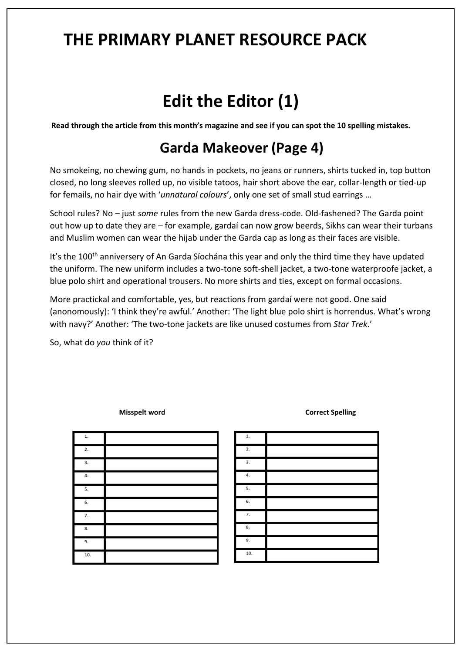# **Edit the Editor (1)**

**Read through the article from this month's magazine and see if you can spot the 10 spelling mistakes.**

#### **Garda Makeover (Page 4)**

No smokeing, no chewing gum, no hands in pockets, no jeans or runners, shirts tucked in, top button closed, no long sleeves rolled up, no visible tatoos, hair short above the ear, collar-length or tied-up for femails, no hair dye with '*unnatural colours*', only one set of small stud earrings …

School rules? No – just *some* rules from the new Garda dress-code. Old-fashened? The Garda point out how up to date they are – for example, gardaí can now grow beerds, Sikhs can wear their turbans and Muslim women can wear the hijab under the Garda cap as long as their faces are visible.

It's the 100<sup>th</sup> anniversery of [An Garda Síochána](about:blank) this year and only the third time they have updated the uniform. The new uniform includes a two-tone soft-shell jacket, a two-tone waterproofe jacket, a blue polo shirt and operational trousers. No more shirts and ties, except on formal occasions.

More practickal and comfortable, yes, but reactions from gardaí were not good. One said (anonomously): 'I think they're awful.' Another: 'The light blue polo shirt is horrendus. What's wrong with navy?' Another: 'The two-tone jackets are like unused costumes from *Star Trek*.'

So, what do *you* think of it?

| $1. \,$          |  |
|------------------|--|
| 2.               |  |
| $\overline{3}$ . |  |
| 4.               |  |
| 5.               |  |
| $\overline{6}$ . |  |
| 7.               |  |
| 8.               |  |
| $\overline{9}$ . |  |
| 10.              |  |

**Misspelt word Correct Spelling** 

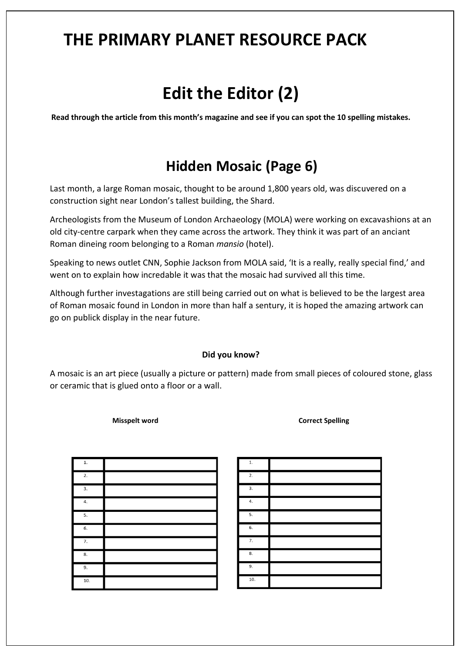# **Edit the Editor (2)**

**Read through the article from this month's magazine and see if you can spot the 10 spelling mistakes.**

#### **Hidden Mosaic (Page 6)**

Last month, a large Roman mosaic, thought to be around 1,800 years old, was discuvered on a construction sight near London's tallest building, the Shard.

Archeologists from the Museum of London Archaeology (MOLA) were working on excavashions at an old city-centre carpark when they came across the artwork. They think it was part of an anciant Roman dineing room belonging to a Roman *mansio* (hotel).

Speaking to news outlet CNN, Sophie Jackson from MOLA said, 'It is a really, really special find,' and went on to explain how incredable it was that the mosaic had survived all this time.

Although further investagations are still being carried out on what is believed to be the largest area of Roman mosaic found in London in more than half a sentury, it is hoped the amazing artwork can go on publick display in the near future.

#### **Did you know?**

A mosaic is an art piece (usually a picture or pattern) made from small pieces of coloured stone, glass or ceramic that is glued onto a floor or a wall.

**Misspelt word Correct Spelling** 

| $1. \,$ |  |
|---------|--|
| 2.      |  |
| 3.      |  |
| 4.      |  |
| 5.      |  |
| 6.      |  |
| 7.      |  |
| 8.      |  |
| 9.      |  |
| 10.     |  |

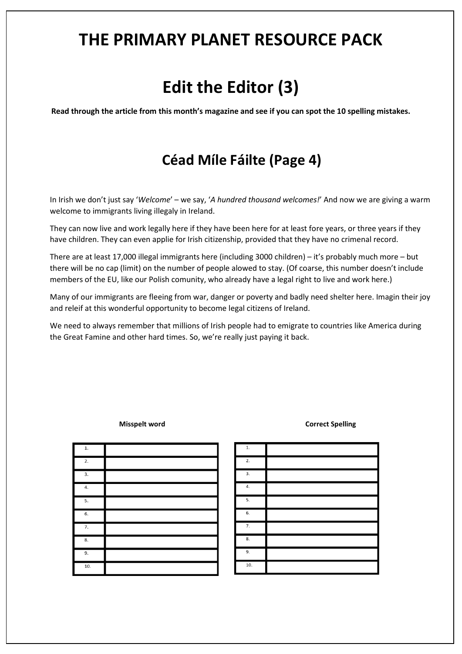# **Edit the Editor (3)**

**Read through the article from this month's magazine and see if you can spot the 10 spelling mistakes.**

#### **Céad Míle Fáilte (Page 4)**

In Irish we don't just say '*Welcome*' – we say, '*A hundred thousand welcomes!*' And now we are giving a warm welcome to immigrants living illegaly in Ireland.

They can now live and work legally here if they have been here for at least fore years, or three years if they have children. They can even applie for Irish citizenship, provided that they have no crimenal record.

There are at least 17,000 illegal immigrants here (including 3000 children) – it's probably much more – but there will be no cap (limit) on the number of people alowed to stay. (Of coarse, this number doesn't include members of the EU, like our Polish comunity, who already have a legal right to live and work here.)

Many of our immigrants are fleeing from war, danger or poverty and badly need shelter here. Imagin their joy and releif at this wonderful opportunity to become legal citizens of Ireland.

We need to always remember that millions of Irish people had to emigrate to countries like America during the Great Famine and other hard times. So, we're really just paying it back.

| $1. \,$          |  |
|------------------|--|
| 2.               |  |
| 3.               |  |
| 4.               |  |
| 5.               |  |
| 6.               |  |
| $\overline{7}$ . |  |
| 8.               |  |
| 9.               |  |
| 10.              |  |

**Misspelt word Correct Spelling** 

| $1.$             |  |
|------------------|--|
| 2.               |  |
| 3.               |  |
| 4.               |  |
| 5.               |  |
| 6.               |  |
| $\overline{7}$ . |  |
| 8.               |  |
| 9.               |  |
| 10.              |  |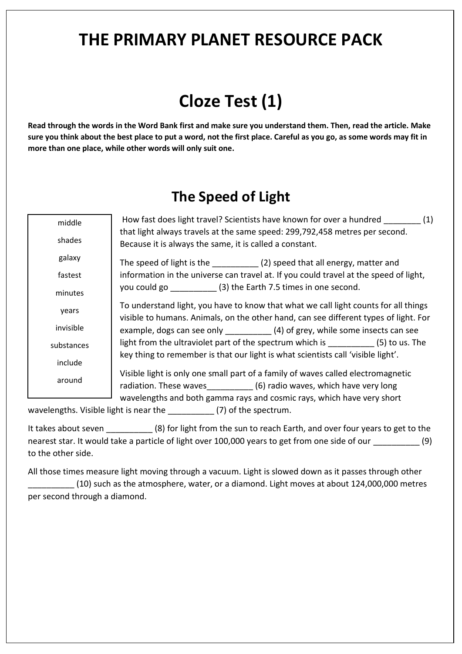# **Cloze Test (1)**

**Read through the words in the Word Bank first and make sure you understand them. Then, read the article. Make sure you think about the best place to put a word, not the first place. Careful as you go, as some words may fit in more than one place, while other words will only suit one.**

#### **The Speed of Light**

| middle     | How fast does light travel? Scientists have known for over a hundred (1)                                                                                                    |
|------------|-----------------------------------------------------------------------------------------------------------------------------------------------------------------------------|
| shades     | that light always travels at the same speed: 299,792,458 metres per second.<br>Because it is always the same, it is called a constant.                                      |
| galaxy     | The speed of light is the ______________(2) speed that all energy, matter and                                                                                               |
| fastest    | information in the universe can travel at. If you could travel at the speed of light,                                                                                       |
| minutes    | you could go ______________(3) the Earth 7.5 times in one second.                                                                                                           |
| years      | To understand light, you have to know that what we call light counts for all things<br>visible to humans. Animals, on the other hand, can see different types of light. For |
| invisible  |                                                                                                                                                                             |
| substances | light from the ultraviolet part of the spectrum which is __________(5) to us. The                                                                                           |
| include    | key thing to remember is that our light is what scientists call 'visible light'.                                                                                            |
| around     | Visible light is only one small part of a family of waves called electromagnetic<br>radiation. These waves ___________ (6) radio waves, which have very long                |
|            | wavelengths and both gamma rays and cosmic rays, which have very short                                                                                                      |

wavelengths. Visible light is near the  $(7)$  of the spectrum.

It takes about seven (8) for light from the sun to reach Earth, and over four years to get to the nearest star. It would take a particle of light over 100,000 years to get from one side of our \_\_\_\_\_\_\_\_\_\_ (9) to the other side.

All those times measure light moving through a vacuum. Light is slowed down as it passes through other \_\_\_\_\_\_\_\_\_\_ (10) such as the atmosphere, water, or a diamond. Light moves at about 124,000,000 metres per second through a diamond.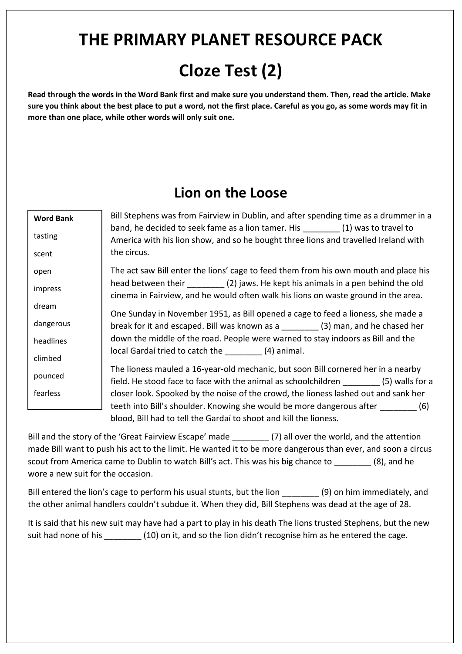# **Cloze Test (2)**

**Read through the words in the Word Bank first and make sure you understand them. Then, read the article. Make sure you think about the best place to put a word, not the first place. Careful as you go, as some words may fit in more than one place, while other words will only suit one.**

#### **Lion on the Loose**

| <b>Word Bank</b> | Bill Stephens was from Fairview in Dublin, and after spending time as a drummer in a                                                                                          |
|------------------|-------------------------------------------------------------------------------------------------------------------------------------------------------------------------------|
| tasting          | band, he decided to seek fame as a lion tamer. His ________(1) was to travel to<br>America with his lion show, and so he bought three lions and travelled Ireland with        |
| scent            | the circus.                                                                                                                                                                   |
| open             | The act saw Bill enter the lions' cage to feed them from his own mouth and place his                                                                                          |
| impress          | head between their __________(2) jaws. He kept his animals in a pen behind the old<br>cinema in Fairview, and he would often walk his lions on waste ground in the area.      |
| dream            | One Sunday in November 1951, as Bill opened a cage to feed a lioness, she made a                                                                                              |
| dangerous        | break for it and escaped. Bill was known as a _________ (3) man, and he chased her                                                                                            |
| headlines        | down the middle of the road. People were warned to stay indoors as Bill and the                                                                                               |
| climbed          | local Gardaí tried to catch the __________ (4) animal.                                                                                                                        |
| pounced          | The lioness mauled a 16-year-old mechanic, but soon Bill cornered her in a nearby<br>field. He stood face to face with the animal as schoolchildren _________ (5) walls for a |
| fearless         | closer look. Spooked by the noise of the crowd, the lioness lashed out and sank her                                                                                           |
|                  | teeth into Bill's shoulder. Knowing she would be more dangerous after ________ (6)                                                                                            |
|                  | blood, Bill had to tell the Gardaí to shoot and kill the lioness.                                                                                                             |

Bill and the story of the 'Great Fairview Escape' made \_\_\_\_\_\_\_\_\_ (7) all over the world, and the attention made Bill want to push his act to the limit. He wanted it to be more dangerous than ever, and soon a circus scout from America came to Dublin to watch Bill's act. This was his big chance to  $(8)$ , and he wore a new suit for the occasion.

Bill entered the lion's cage to perform his usual stunts, but the lion \_\_\_\_\_\_\_\_\_ (9) on him immediately, and the other animal handlers couldn't subdue it. When they did, Bill Stephens was dead at the age of 28.

It is said that his new suit may have had a part to play in his death The lions trusted Stephens, but the new suit had none of his \_\_\_\_\_\_\_\_ (10) on it, and so the lion didn't recognise him as he entered the cage.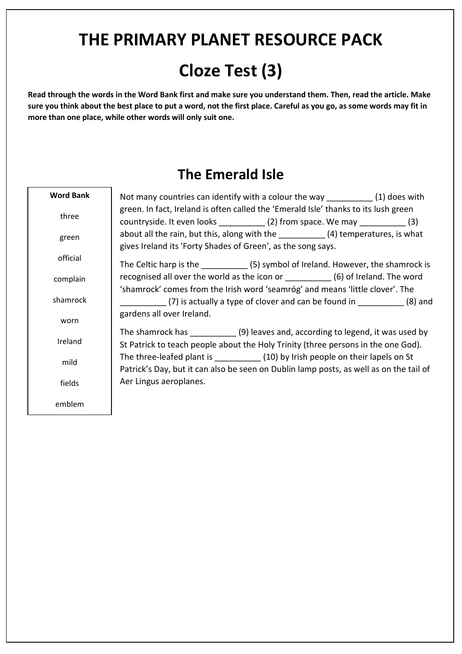# **Cloze Test (3)**

**Read through the words in the Word Bank first and make sure you understand them. Then, read the article. Make sure you think about the best place to put a word, not the first place. Careful as you go, as some words may fit in more than one place, while other words will only suit one.**

#### **The Emerald Isle**

٦

| <b>Word Bank</b> | Not many countries can identify with a colour the way [1] does with                    |  |
|------------------|----------------------------------------------------------------------------------------|--|
| three            | green. In fact, Ireland is often called the 'Emerald Isle' thanks to its lush green    |  |
|                  | countryside. It even looks ____________(2) from space. We may ____________(3)          |  |
| green            | about all the rain, but this, along with the ______________(4) temperatures, is what   |  |
|                  | gives Ireland its 'Forty Shades of Green', as the song says.                           |  |
| official         | The Celtic harp is the ____________(5) symbol of Ireland. However, the shamrock is     |  |
| complain         | recognised all over the world as the icon or __________ (6) of Ireland. The word       |  |
|                  | 'shamrock' comes from the Irish word 'seamróg' and means 'little clover'. The          |  |
| shamrock         | (7) is actually a type of clover and can be found in (8) and                           |  |
| worn             | gardens all over Ireland.                                                              |  |
|                  | The shamrock has ____________(9) leaves and, according to legend, it was used by       |  |
| Ireland          | St Patrick to teach people about the Holy Trinity (three persons in the one God).      |  |
| mild             | The three-leafed plant is _____________(10) by Irish people on their lapels on St      |  |
|                  | Patrick's Day, but it can also be seen on Dublin lamp posts, as well as on the tail of |  |
| fields           | Aer Lingus aeroplanes.                                                                 |  |
| emblem           |                                                                                        |  |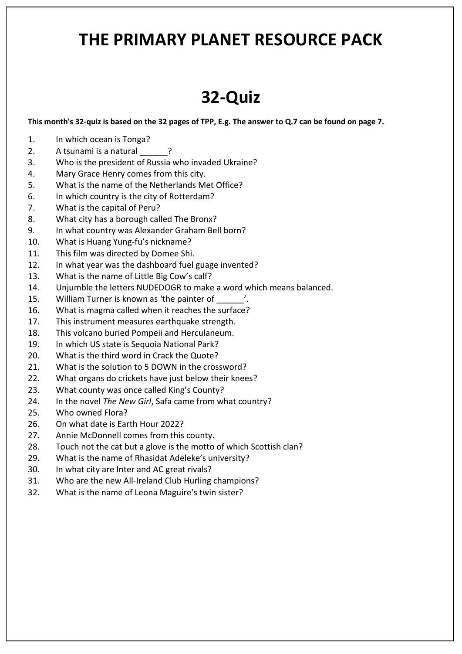# **32-Quiz**

**This month's 32-quiz is based on the 32 pages of TPP, E.g. The answer to Q.7 can be found on page 7.**

- 1. In which ocean is Tonga?
- 2. A tsunami is a natural 2
- 3. Who is the president of Russia who invaded Ukraine?
- 4. Mary Grace Henry comes from this city.
- 5. What is the name of the Netherlands Met Office?
- 6. In which country is the city of Rotterdam?
- 7. What is the capital of Peru?
- 8. What city has a borough called The Bronx?
- 9. In what country was Alexander Graham Bell born?
- 10. What is Huang Yung-fu's nickname?
- 11. This film was directed by Domee Shi.
- 12. In what year was the dashboard fuel guage invented?
- 13. What is the name of Little Big Cow's calf?
- 14. Unjumble the letters NUDEDOGR to make a word which means balanced.
- 15. William Turner is known as 'the painter of  $\hspace{1cm}$  '.
- 16. What is magma called when it reaches the surface?
- 17. This instrument measures earthquake strength.
- 18. This volcano buried Pompeii and Herculaneum.
- 19. In which US state is Sequoia National Park?
- 20. What is the third word in Crack the Quote?
- 21. What is the solution to 5 DOWN in the crossword?
- 22. What organs do crickets have just below their knees?
- 23. What county was once called King's County?
- 24. In the novel *The New Girl*, Safa came from what country?
- 25. Who owned Flora?
- 26. On what date is Earth Hour 2022?
- 27. Annie McDonnell comes from this county.
- 28. Touch not the cat but a glove is the motto of which Scottish clan?
- 29. What is the name of Rhasidat Adeleke's university?
- 30. In what city are Inter and AC great rivals?
- 31. Who are the new All-Ireland Club Hurling champions?
- 32. What is the name of Leona Maguire's twin sister?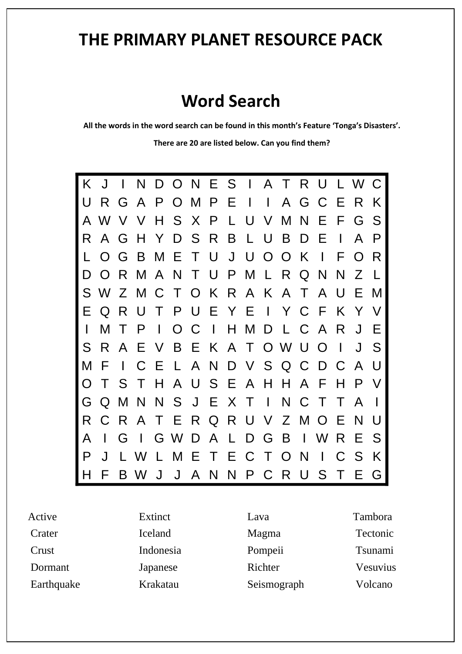#### **Word Search**

**All the words in the word search can be found in this month's Feature 'Tonga's Disasters'.**

**There are 20 are listed below. Can you find them?** 



Active **Crater Crust** Dormant Earthquake Extinct Iceland Indonesia Japanese Krakatau Lava Magma Pompeii Richter Seismograph

Tambora Tectonic Tsunami Vesuvius Volcano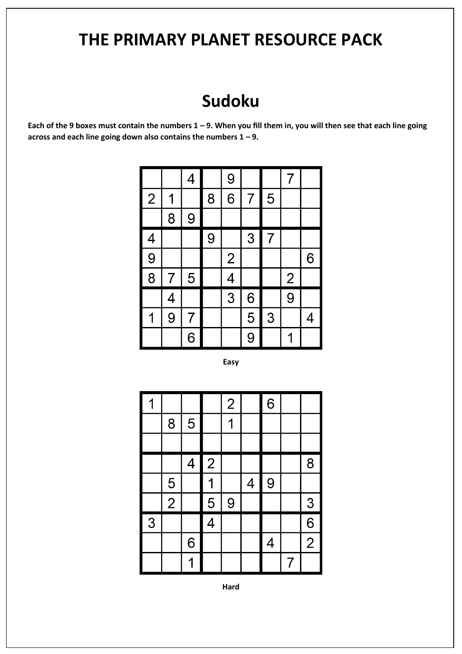### **Sudoku**

**Each of the 9 boxes must contain the numbers 1 – 9. When you fill them in, you will then see that each line going across and each line going down also contains the numbers 1 – 9.** 

|                |   | 4              |   | 9                        |   |   | 7              |   |
|----------------|---|----------------|---|--------------------------|---|---|----------------|---|
| $\overline{2}$ | 1 |                | 8 | 6                        | 7 | 5 |                |   |
|                | 8 | 9              |   |                          |   |   |                |   |
| 4              |   |                | 9 |                          | 3 | 7 |                |   |
| $\overline{9}$ |   |                |   | $\overline{2}$           |   |   |                | 6 |
| $\overline{8}$ | 7 | 5              |   | $\overline{\mathcal{A}}$ |   |   | $\overline{2}$ |   |
|                | 4 |                |   | 3                        | 6 |   | 9              |   |
| 1              | 9 | $\overline{7}$ |   |                          | 5 | 3 |                | 4 |
|                |   | $\overline{6}$ |   |                          | 9 |   | 1              |   |

**Easy**

| 1              |                |                |                | $\overline{2}$ |                          | $6\phantom{a}$           |   |                |
|----------------|----------------|----------------|----------------|----------------|--------------------------|--------------------------|---|----------------|
|                | 8              | 5              |                |                |                          |                          |   |                |
|                |                |                |                |                |                          |                          |   |                |
|                |                | 4              | $\overline{2}$ |                |                          |                          |   | 8              |
|                | 5              |                |                |                | $\overline{\mathcal{A}}$ | 9                        |   |                |
|                | $\overline{2}$ |                | 5              | 9              |                          |                          |   | $\frac{3}{2}$  |
| $\overline{3}$ |                |                | $\overline{4}$ |                |                          |                          |   | $\overline{6}$ |
|                |                | $\overline{6}$ |                |                |                          | $\overline{\mathcal{A}}$ |   | $\overline{2}$ |
|                |                |                |                |                |                          |                          | 7 |                |

**Hard**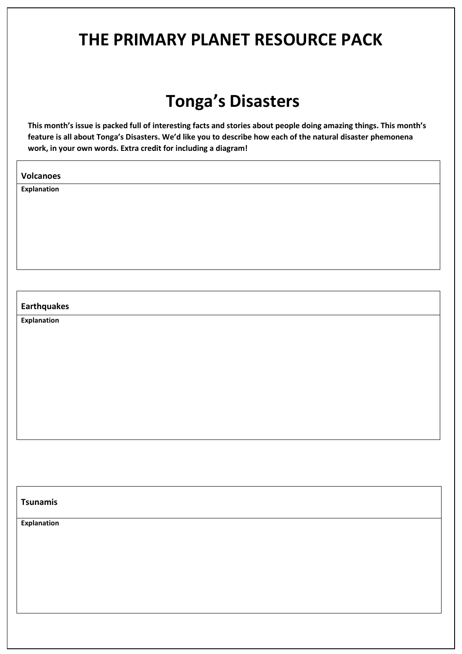## **Tonga's Disasters**

**This month's issue is packed full of interesting facts and stories about people doing amazing things. This month's feature is all about Tonga's Disasters. We'd like you to describe how each of the natural disaster phemonena work, in your own words. Extra credit for including a diagram!** 

**Volcanoes**

**Explanation**

#### **Earthquakes**

**Explanation**

#### **Tsunamis**

**Explanation**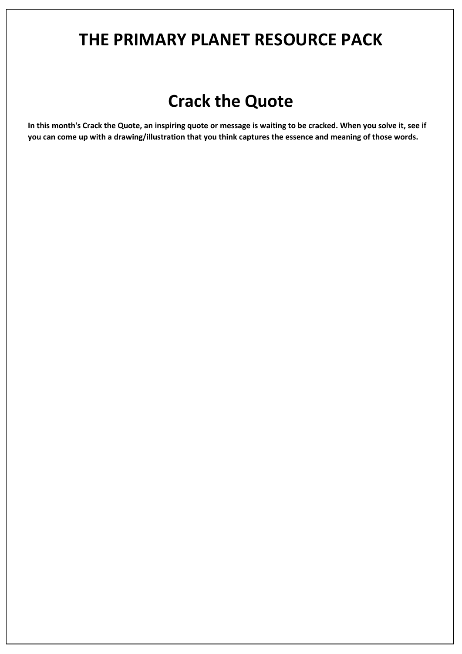### **Crack the Quote**

**In this month's Crack the Quote, an inspiring quote or message is waiting to be cracked. When you solve it, see if you can come up with a drawing/illustration that you think captures the essence and meaning of those words.**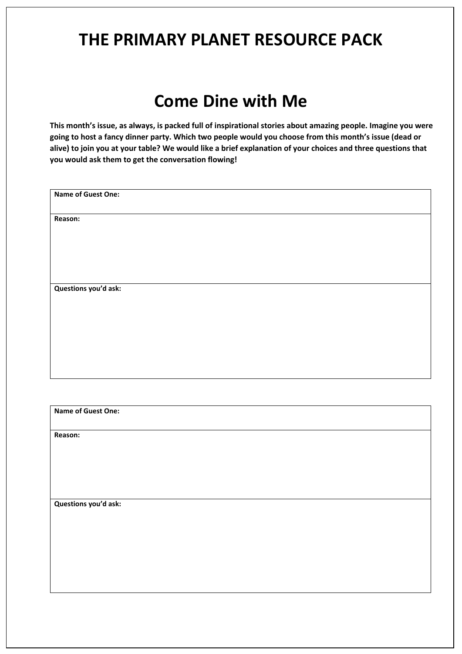### **Come Dine with Me**

**This month's issue, as always, is packed full of inspirational stories about amazing people. Imagine you were going to host a fancy dinner party. Which two people would you choose from this month's issue (dead or alive) to join you at your table? We would like a brief explanation of your choices and three questions that you would ask them to get the conversation flowing!** 

| Name of Guest One:        |
|---------------------------|
|                           |
| Reason:                   |
|                           |
|                           |
|                           |
|                           |
|                           |
|                           |
|                           |
|                           |
| Questions you'd ask:      |
|                           |
|                           |
|                           |
|                           |
|                           |
|                           |
|                           |
|                           |
|                           |
|                           |
|                           |
|                           |
|                           |
| <b>Name of Guest One:</b> |
|                           |
|                           |

**Reason:**

**Questions you'd ask:**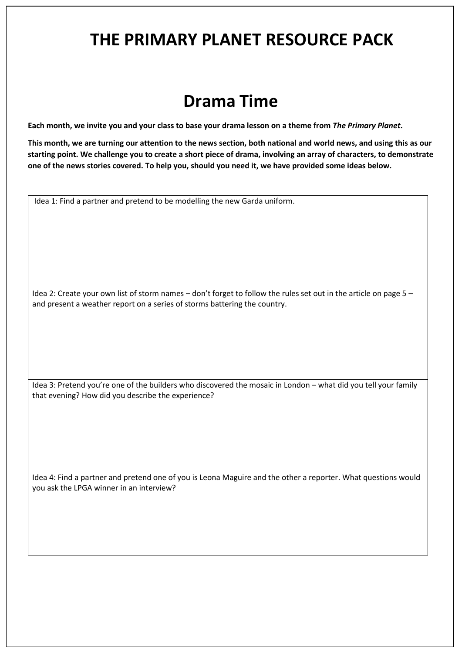### **Drama Time**

**Each month, we invite you and your class to base your drama lesson on a theme from** *The Primary Planet***.** 

**This month, we are turning our attention to the news section, both national and world news, and using this as our starting point. We challenge you to create a short piece of drama, involving an array of characters, to demonstrate one of the news stories covered. To help you, should you need it, we have provided some ideas below.**

Idea 1: Find a partner and pretend to be modelling the new Garda uniform.

Idea 2: Create your own list of storm names – don't forget to follow the rules set out in the article on page 5 – and present a weather report on a series of storms battering the country.

Idea 3: Pretend you're one of the builders who discovered the mosaic in London – what did you tell your family that evening? How did you describe the experience?

Idea 4: Find a partner and pretend one of you is Leona Maguire and the other a reporter. What questions would you ask the LPGA winner in an interview?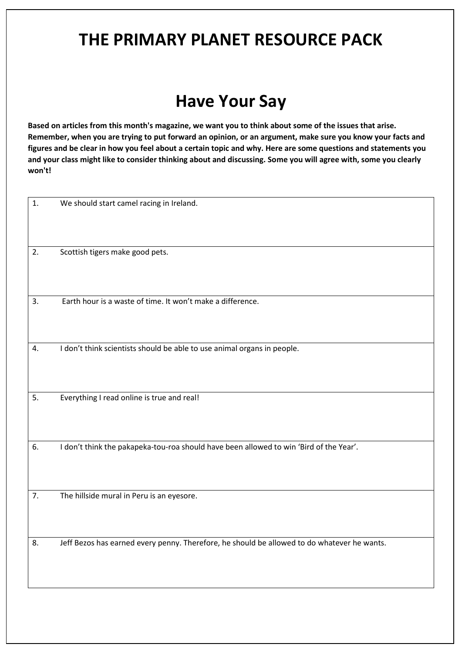## **Have Your Say**

**Based on articles from this month's magazine, we want you to think about some of the issues that arise. Remember, when you are trying to put forward an opinion, or an argument, make sure you know your facts and figures and be clear in how you feel about a certain topic and why. Here are some questions and statements you and your class might like to consider thinking about and discussing. Some you will agree with, some you clearly won't!**

| 1. | We should start camel racing in Ireland.                                                    |
|----|---------------------------------------------------------------------------------------------|
|    |                                                                                             |
|    |                                                                                             |
|    |                                                                                             |
| 2. | Scottish tigers make good pets.                                                             |
|    |                                                                                             |
|    |                                                                                             |
| 3. | Earth hour is a waste of time. It won't make a difference.                                  |
|    |                                                                                             |
|    |                                                                                             |
| 4. | I don't think scientists should be able to use animal organs in people.                     |
|    |                                                                                             |
|    |                                                                                             |
|    |                                                                                             |
| 5. | Everything I read online is true and real!                                                  |
|    |                                                                                             |
|    |                                                                                             |
| 6. | I don't think the pakapeka-tou-roa should have been allowed to win 'Bird of the Year'.      |
|    |                                                                                             |
|    |                                                                                             |
| 7. | The hillside mural in Peru is an eyesore.                                                   |
|    |                                                                                             |
|    |                                                                                             |
|    |                                                                                             |
| 8. | Jeff Bezos has earned every penny. Therefore, he should be allowed to do whatever he wants. |
|    |                                                                                             |
|    |                                                                                             |
|    |                                                                                             |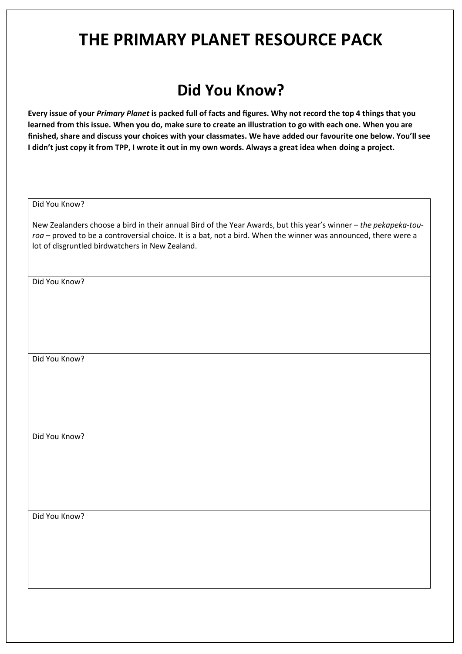#### **Did You Know?**

**Every issue of your** *Primary Planet* **is packed full of facts and figures. Why not record the top 4 things that you learned from this issue. When you do, make sure to create an illustration to go with each one. When you are finished, share and discuss your choices with your classmates. We have added our favourite one below. You'll see I didn't just copy it from TPP, I wrote it out in my own words. Always a great idea when doing a project.**

Did You Know?

New Zealanders choose a bird in their annual Bird of the Year Awards, but this year's winner – *the pekapeka-touroa* – proved to be a controversial choice. It is a bat, not a bird. When the winner was announced, there were a lot of disgruntled birdwatchers in New Zealand.

Did You Know?

Did You Know?

Did You Know?

Did You Know?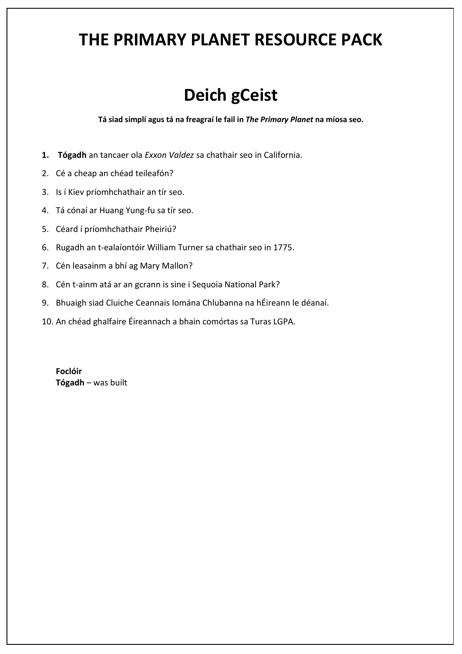# **Deich gCeist**

**Tá siad simplí agus tá na freagraí le fail in** *The Primary Planet* **na míosa seo.**

- **1. Tógadh** an tancaer ola *Exxon Valdez* sa chathair seo in California.
- 2. Cé a cheap an chéad teileafón?
- 3. Is í Kiev príomhchathair an tír seo.
- 4. Tá cónaí ar Huang Yung-fu sa tír seo.
- 5. Céard í príomhchathair Pheiriú?
- 6. Rugadh an t-ealaíontóir William Turner sa chathair seo in 1775.
- 7. Cén leasainm a bhí ag Mary Mallon?
- 8. Cén t-ainm atá ar an gcrann is sine i Sequoia National Park?
- 9. Bhuaigh siad Cluiche Ceannais Iomána Chlubanna na hÉireann le déanaí.
- 10. An chéad ghalfaire Éireannach a bhain comórtas sa Turas LGPA.

**Foclóir Tógadh** – was built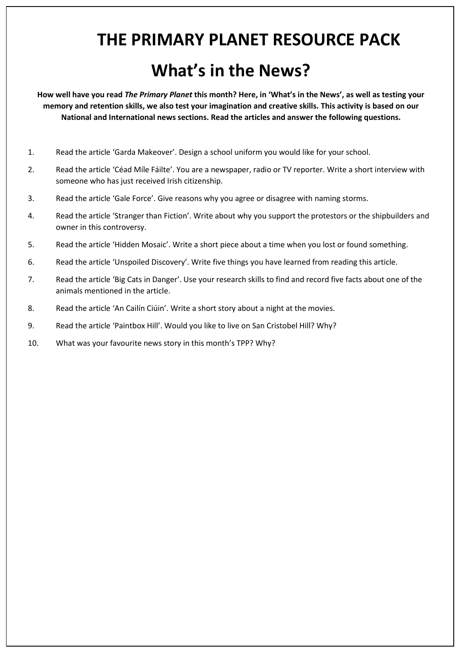# **THE PRIMARY PLANET RESOURCE PACK What's in the News?**

**How well have you read** *The Primary Planet* **this month? Here, in 'What's in the News', as well as testing your memory and retention skills, we also test your imagination and creative skills. This activity is based on our National and International news sections. Read the articles and answer the following questions.**

- 1. Read the article 'Garda Makeover'. Design a school uniform you would like for your school.
- 2. Read the article 'Céad Míle Fáilte'. You are a newspaper, radio or TV reporter. Write a short interview with someone who has just received Irish citizenship.
- 3. Read the article 'Gale Force'. Give reasons why you agree or disagree with naming storms.
- 4. Read the article 'Stranger than Fiction'. Write about why you support the protestors or the shipbuilders and owner in this controversy.
- 5. Read the article 'Hidden Mosaic'. Write a short piece about a time when you lost or found something.
- 6. Read the article 'Unspoiled Discovery'. Write five things you have learned from reading this article.
- 7. Read the article 'Big Cats in Danger'. Use your research skills to find and record five facts about one of the animals mentioned in the article.
- 8. Read the article 'An Cailín Ciúin'. Write a short story about a night at the movies.
- 9. Read the article 'Paintbox Hill'. Would you like to live on San Cristobel Hill? Why?
- 10. What was your favourite news story in this month's TPP? Why?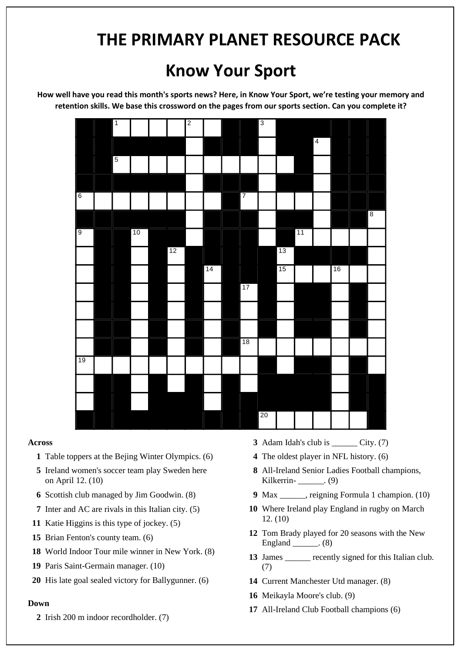### **Know Your Sport**

**How well have you read this month's sports news? Here, in Know Your Sport, we're testing your memory and retention skills. We base this crossword on the pages from our sports section. Can you complete it?**



#### **Across**

- **1** Table toppers at the Bejing Winter Olympics. (6)
- **5** Ireland women's soccer team play Sweden here on April 12. (10)
- **6** Scottish club managed by Jim Goodwin. (8)
- **7** Inter and AC are rivals in this Italian city. (5)
- **11** Katie Higgins is this type of jockey. (5)
- **15** Brian Fenton's county team. (6)
- **18** World Indoor Tour mile winner in New York. (8)
- **19** Paris Saint-Germain manager. (10)
- **20** His late goal sealed victory for Ballygunner. (6)

#### **Down**

**2** Irish 200 m indoor recordholder. (7)

- **3** Adam Idah's club is City. (7)
- **4** The oldest player in NFL history. (6)
- **8** All-Ireland Senior Ladies Football champions, Kilkerrin- (9)
- **9** Max \_\_\_\_\_\_, reigning Formula 1 champion. (10)
- **10** Where Ireland play England in rugby on March 12. (10)
- **12** Tom Brady played for 20 seasons with the New England \_\_\_\_\_\_. (8)
- 13 James recently signed for this Italian club. (7)
- **14** Current Manchester Utd manager. (8)
- **16** Meikayla Moore's club. (9)
- **17** All-Ireland Club Football champions (6)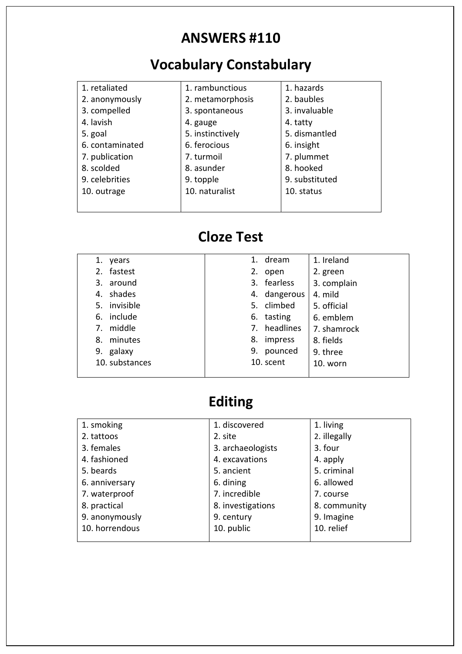#### **ANSWERS #110**

# **Vocabulary Constabulary**

| 1. retaliated   | 1. rambunctious  | 1. hazards     |
|-----------------|------------------|----------------|
| 2. anonymously  | 2. metamorphosis | 2. baubles     |
| 3. compelled    | 3. spontaneous   | 3. invaluable  |
| 4. lavish       | 4. gauge         | 4. tatty       |
| 5. goal         | 5. instinctively | 5. dismantled  |
| 6. contaminated | 6. ferocious     | 6. insight     |
| 7. publication  | 7. turmoil       | 7. plummet     |
| 8. scolded      | 8. asunder       | 8. hooked      |
| 9. celebrities  | 9. topple        | 9. substituted |
| 10. outrage     | 10. naturalist   | 10. status     |
|                 |                  |                |
|                 |                  |                |

#### **Cloze Test**

| 1.          | years          |    | 1. dream     | 1. Ireland  |
|-------------|----------------|----|--------------|-------------|
| 2.          | fastest        |    | 2. open      | 2. green    |
|             | 3. around      |    | 3. fearless  | 3. complain |
|             | 4. shades      |    | 4. dangerous | 4. mild     |
|             | 5. invisible   |    | 5. climbed   | 5. official |
|             | 6. include     |    | 6. tasting   | 6. emblem   |
| $7_{\cdot}$ | middle         |    | 7. headlines | 7. shamrock |
| 8.          | minutes        | 8. | impress      | 8. fields   |
|             | 9. galaxy      | 9. | pounced      | 9. three    |
|             | 10. substances |    | 10. scent    | 10. worn    |
|             |                |    |              |             |

#### **Editing**

| 1. smoking     | 1. discovered     | 1. living    |
|----------------|-------------------|--------------|
| 2. tattoos     | 2. site           | 2. illegally |
| 3. females     | 3. archaeologists | 3. four      |
| 4. fashioned   | 4. excavations    | 4. apply     |
| 5. beards      | 5. ancient        | 5. criminal  |
| 6. anniversary | 6. dining         | 6. allowed   |
| 7. waterproof  | 7. incredible     | 7. course    |
| 8. practical   | 8. investigations | 8. community |
| 9. anonymously | 9. century        | 9. Imagine   |
| 10. horrendous | 10. public        | 10. relief   |
|                |                   |              |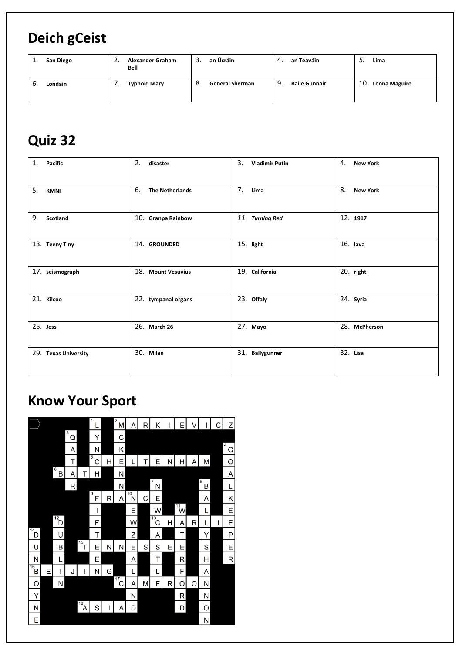#### **Deich gCeist**

| San Diego<br>ı. | <b>Alexander Graham</b><br><u>.</u><br>Bell | an Úcráin<br>3.              | an Téaváin<br>4.           | Lima<br>J.        |
|-----------------|---------------------------------------------|------------------------------|----------------------------|-------------------|
| Londain<br>ь.   | <b>Typhoid Mary</b>                         | 8.<br><b>General Sherman</b> | 9.<br><b>Baile Gunnair</b> | 10. Leona Maguire |

### **Quiz 32**

| 1.<br><b>Pacific</b> | 2.<br>disaster               | 3.<br><b>Vladimir Putin</b> | 4.<br><b>New York</b> |
|----------------------|------------------------------|-----------------------------|-----------------------|
| 5.<br><b>KMNI</b>    | 6.<br><b>The Netherlands</b> | 7.<br>Lima                  | 8.<br><b>New York</b> |
| 9.<br>Scotland       | 10. Granpa Rainbow           | 11. Turning Red             | 12. 1917              |
| 13. Teeny Tiny       | 14. GROUNDED                 | 15. light                   | $16.$ lava            |
| 17. seismograph      | 18. Mount Vesuvius           | 19. California              | 20. right             |
| 21. Kilcoo           | 22. tympanal organs          | 23. Offaly                  | 24. Syria             |
| 25. Jess             | 26. March 26                 | 27. Mayo                    | 28. McPherson         |
| 29. Texas University | 30. Milan                    | 31. Ballygunner             | 32. Lisa              |

#### **Know Your Sport**

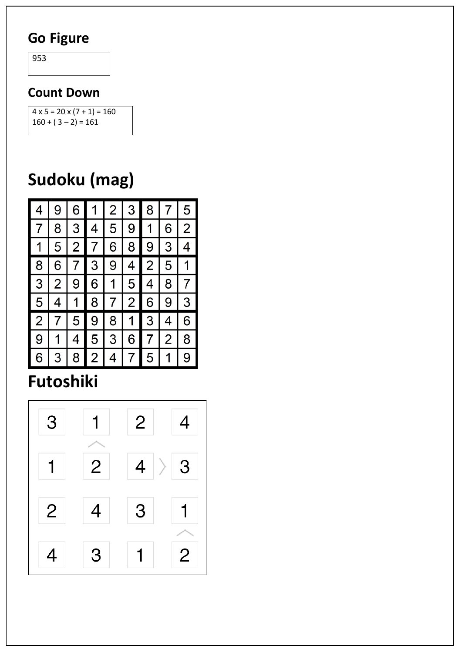#### **Go Figure**

953

#### **Count Down**

 $4 \times 5 = 20 \times (7 + 1) = 160$  $160 + (3 - 2) = 161$ 

# **Sudoku (mag)**



# **Futoshiki**

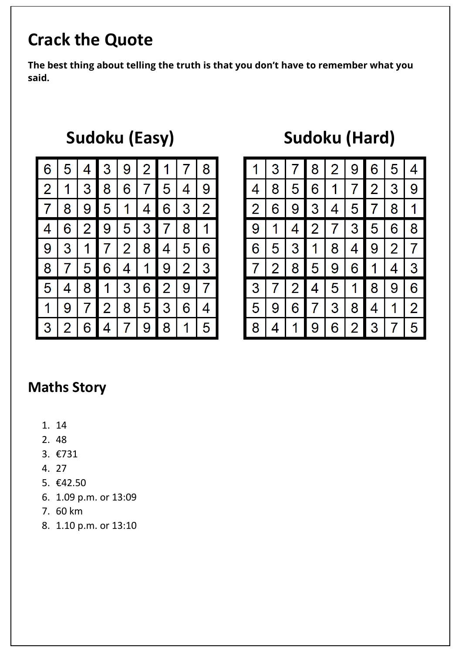# **Crack the Quote**

**The best thing about telling the truth is that you don't have to remember what you said.** 

| 6              | 5 | 4              | 3            | 9              | $\overline{2}$ |                |                | 8              |
|----------------|---|----------------|--------------|----------------|----------------|----------------|----------------|----------------|
| $\overline{2}$ | 1 | 3              | 8            | 6              | 7              | 5.             | 4              | 9              |
| 7              | 8 | 9              | 5            | 1              | 4              | 6              | 3              | $\overline{2}$ |
| 4              | 6 | $\overline{2}$ | 9            | 5              | 3              | $7\phantom{.}$ | 8              | 1              |
| 9              | 3 | $\mathbf 1$    | $\mathbf{7}$ | $\overline{2}$ | 8              | 4              | 5              | 6              |
| 8              | 7 | 5              | 6            | 4              | 1              | 9              | $\overline{2}$ | 3              |
| 5              | 4 | 8              | 1            | $\mathbf{3}$   | 6              | $\overline{2}$ | 9              | 7              |
| 1              | 9 |                | 2            | 8              | 5              | 3              | 6              |                |
| 3              | 2 | 6              | 4            |                | 9              | 8              |                | 5              |

# Sudoku (Easy) **Sudoku (Hard)**

|                |   | 1 3 7 8 2 9 6     |  |             | 5 | $\overline{\mathcal{A}}$ |
|----------------|---|-------------------|--|-------------|---|--------------------------|
|                |   | 4 8 5 6 1 7 2 3 9 |  |             |   |                          |
| $\overline{2}$ |   | 6 9 3 4 5 7 8 1   |  |             |   |                          |
|                |   | 9 1 4 2 7 35 6 8  |  |             |   |                          |
| 6 <sup>1</sup> |   | 5 3 1 8 4 9 2 7   |  |             |   |                          |
|                |   | 7 2 8 5 9 6 1 4 3 |  |             |   |                          |
|                |   | 3 7 2 4 5 1 8 9 6 |  |             |   |                          |
|                |   | 5 9 6 7 3 8 4 1 2 |  |             |   |                          |
| 8              | 4 |                   |  | 1 9 6 2 3 7 |   | 5                        |

#### **Maths Story**

- 1. 14
- 2. 48
- 3. €731
- 4. 27
- 5. €42.50
- 6. 1.09 p.m. or 13:09
- 7. 60 km
- 8. 1.10 p.m. or 13:10